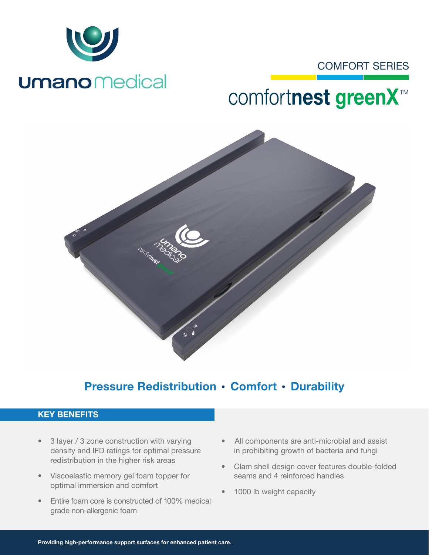

# **Umano** Medical

### COMFORT SERIES

# comfortnest greenX<sup>™</sup>



## Pressure Redistribution · Comfort · Durability

#### KEY BENEFITS

- 3 layer / 3 zone construction with varying density and IFD ratings for optimal pressure redistribution in the higher risk areas
- Viscoelastic memory gel foam topper for optimal immersion and comfort
- Entire foam core is constructed of 100% medical grade non-allergenic foam
- All components are anti-microbial and assist in prohibiting growth of bacteria and fungi
- Clam shell design cover features double-folded seams and 4 reinforced handles
- 1000 lb weight capacity